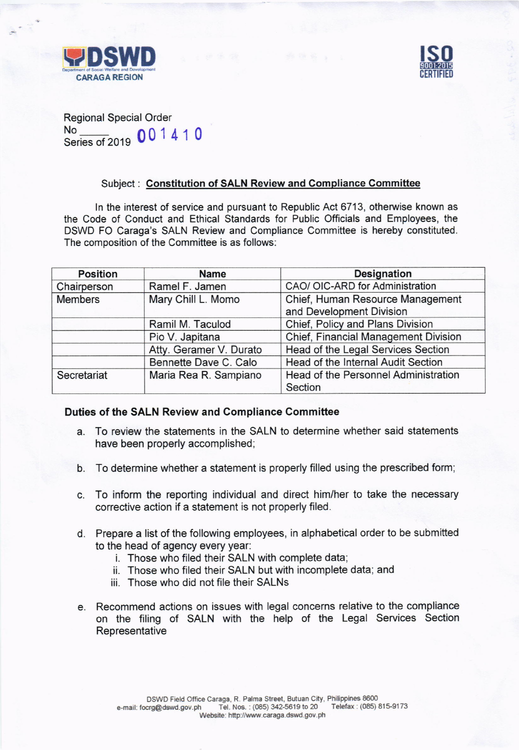



Regional Special Order Series of 2019 00 1 4 1 0

## Subject : Constitution of SALN Review and Gompliance Gommittee

ln the interest of service and pursuant to Republic Act 6713, otherwise known as the Code of Conduct and Ethical Standards for Public Officials and Employees, the DSWD FO Caraga's SALN Review and Compliance Committee is hereby constituted. The composition of the Committee is as follows:

| <b>Position</b> | <b>Name</b>             | <b>Designation</b>                   |
|-----------------|-------------------------|--------------------------------------|
| Chairperson     | Ramel F. Jamen          | CAO/ OIC-ARD for Administration      |
| <b>Members</b>  | Mary Chill L. Momo      | Chief, Human Resource Management     |
|                 |                         | and Development Division             |
|                 | Ramil M. Taculod        | Chief, Policy and Plans Division     |
|                 | Pio V. Japitana         | Chief, Financial Management Division |
|                 | Atty. Geramer V. Durato | Head of the Legal Services Section   |
|                 | Bennette Dave C. Calo   | Head of the Internal Audit Section   |
| Secretariat     | Maria Rea R. Sampiano   | Head of the Personnel Administration |
|                 |                         | Section                              |

## Duties of the SALN Review and Compliance Committee

- a. To review the statements in the SALN to determine whether said statements have been properly accomplished;
- b. To determine whether a statement is properly filled using the prescribed form;
- c. To inform the reporting individual and direct him/her to take the necessary corrective action if a statement is not properly filed.
- d. Prepare a list of the following employees, in alphabetical order to be submitted to the head of agency every year:
	- i. Those who filed their SALN with complete data;
	- ii. Those who filed their SALN but with incomplete data; and
	- iii. Those who did not file their SALNs
- e. Recommend actions on issues with legal concerns relative to the compliance on the filing of SALN with the help of the Legal Services Section Representative